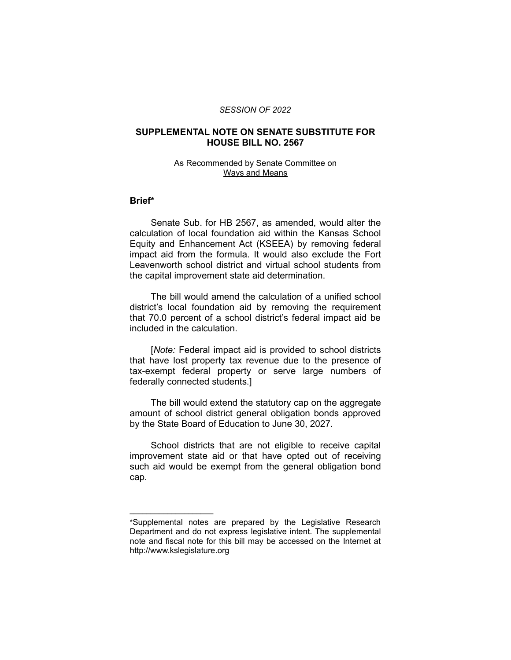#### *SESSION OF 2022*

## **SUPPLEMENTAL NOTE ON SENATE SUBSTITUTE FOR HOUSE BILL NO. 2567**

## As Recommended by Senate Committee on Ways and Means

#### **Brief\***

Senate Sub. for HB 2567, as amended, would alter the calculation of local foundation aid within the Kansas School Equity and Enhancement Act (KSEEA) by removing federal impact aid from the formula. It would also exclude the Fort Leavenworth school district and virtual school students from the capital improvement state aid determination.

The bill would amend the calculation of a unified school district's local foundation aid by removing the requirement that 70.0 percent of a school district's federal impact aid be included in the calculation.

[*Note:* Federal impact aid is provided to school districts that have lost property tax revenue due to the presence of tax-exempt federal property or serve large numbers of federally connected students.]

The bill would extend the statutory cap on the aggregate amount of school district general obligation bonds approved by the State Board of Education to June 30, 2027.

School districts that are not eligible to receive capital improvement state aid or that have opted out of receiving such aid would be exempt from the general obligation bond cap.

 $\overline{\phantom{a}}$  , where  $\overline{\phantom{a}}$  , where  $\overline{\phantom{a}}$ 

<sup>\*</sup>Supplemental notes are prepared by the Legislative Research Department and do not express legislative intent. The supplemental note and fiscal note for this bill may be accessed on the Internet at http://www.kslegislature.org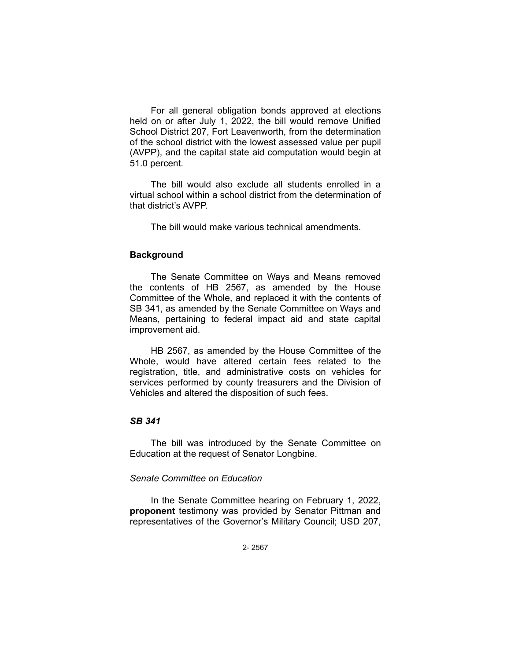For all general obligation bonds approved at elections held on or after July 1, 2022, the bill would remove Unified School District 207, Fort Leavenworth, from the determination of the school district with the lowest assessed value per pupil (AVPP), and the capital state aid computation would begin at 51.0 percent.

The bill would also exclude all students enrolled in a virtual school within a school district from the determination of that district's AVPP.

The bill would make various technical amendments.

## **Background**

The Senate Committee on Ways and Means removed the contents of HB 2567, as amended by the House Committee of the Whole, and replaced it with the contents of SB 341, as amended by the Senate Committee on Ways and Means, pertaining to federal impact aid and state capital improvement aid.

HB 2567, as amended by the House Committee of the Whole, would have altered certain fees related to the registration, title, and administrative costs on vehicles for services performed by county treasurers and the Division of Vehicles and altered the disposition of such fees.

# *SB 341*

The bill was introduced by the Senate Committee on Education at the request of Senator Longbine.

# *Senate Committee on Education*

In the Senate Committee hearing on February 1, 2022, **proponent** testimony was provided by Senator Pittman and representatives of the Governor's Military Council; USD 207,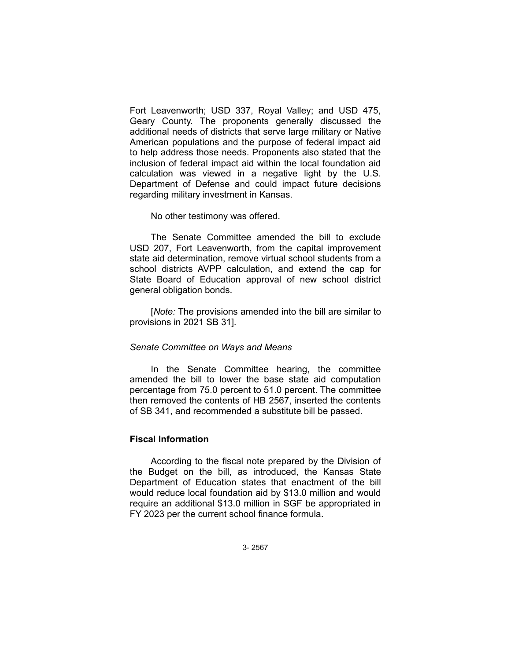Fort Leavenworth; USD 337, Royal Valley; and USD 475, Geary County. The proponents generally discussed the additional needs of districts that serve large military or Native American populations and the purpose of federal impact aid to help address those needs. Proponents also stated that the inclusion of federal impact aid within the local foundation aid calculation was viewed in a negative light by the U.S. Department of Defense and could impact future decisions regarding military investment in Kansas.

No other testimony was offered.

The Senate Committee amended the bill to exclude USD 207, Fort Leavenworth, from the capital improvement state aid determination, remove virtual school students from a school districts AVPP calculation, and extend the cap for State Board of Education approval of new school district general obligation bonds.

[*Note:* The provisions amended into the bill are similar to provisions in 2021 SB 31].

### *Senate Committee on Ways and Means*

In the Senate Committee hearing, the committee amended the bill to lower the base state aid computation percentage from 75.0 percent to 51.0 percent. The committee then removed the contents of HB 2567, inserted the contents of SB 341, and recommended a substitute bill be passed.

## **Fiscal Information**

According to the fiscal note prepared by the Division of the Budget on the bill, as introduced, the Kansas State Department of Education states that enactment of the bill would reduce local foundation aid by \$13.0 million and would require an additional \$13.0 million in SGF be appropriated in FY 2023 per the current school finance formula.